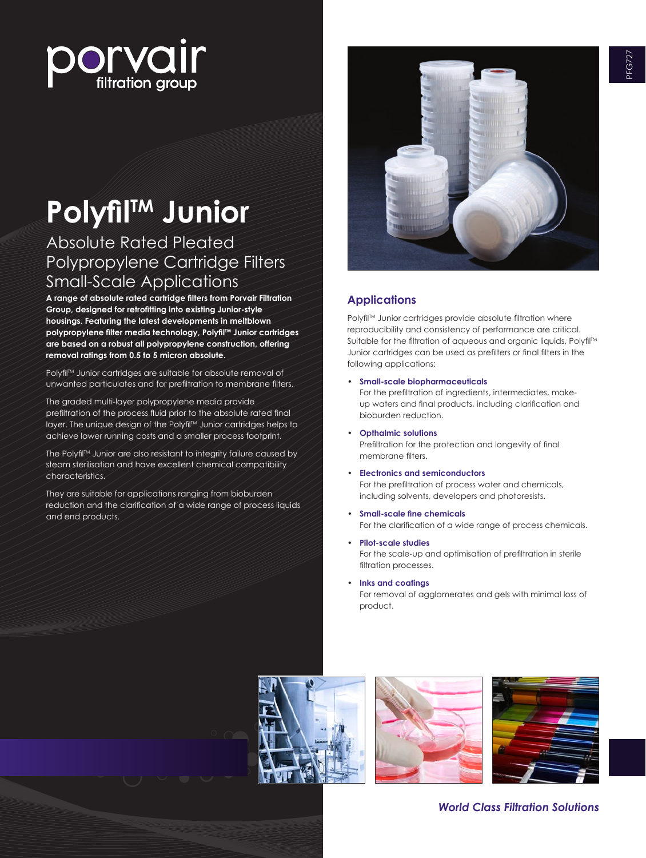

# **PolyfilTM Junior**

# Absolute Rated Pleated Polypropylene Cartridge Filters Small-Scale Applications

**A range of absolute rated cartridge filters from Porvair Filtration Group, designed for retrofitting into existing Junior-style housings. Featuring the latest developments in meltblown polypropylene filter media technology, PolyfilTM Junior cartridges are based on a robust all polypropylene construction, offering removal ratings from 0.5 to 5 micron absolute.**

Polyfil<sup>TM</sup> Junior cartridges are suitable for absolute removal of unwanted particulates and for prefiltration to membrane filters.

The graded multi-layer polypropylene media provide prefiltration of the process fluid prior to the absolute rated final layer. The unique design of the Polyfil™ Junior cartridges helps to achieve lower running costs and a smaller process footprint.

The Polyfil<sup>IM</sup> Junior are also resistant to integrity failure caused by steam sterilisation and have excellent chemical compatibility characteristics.

They are suitable for applications ranging from bioburden reduction and the clarification of a wide range of process liquids and end products.



# **Applications**

Polyfil™ Junior cartridges provide absolute filtration where reproducibility and consistency of performance are critical. Suitable for the filtration of aqueous and organic liquids, Polyfil™ Junior cartridges can be used as prefilters or final filters in the following applications:

- **Small-scale biopharmaceuticals** For the prefiltration of ingredients, intermediates, makeup waters and final products, including clarification and bioburden reduction.
- **Opthalmic solutions** Prefiltration for the protection and longevity of final membrane filters.
- • **Electronics and semiconductors** For the prefiltration of process water and chemicals, including solvents, developers and photoresists.
- **Small-scale fine chemicals** For the clarification of a wide range of process chemicals.
- **Pilot-scale studies** For the scale-up and optimisation of prefiltration in sterile filtration processes.
- **Inks and coatings**

For removal of agglomerates and gels with minimal loss of product.







*World Class Filtration Solutions*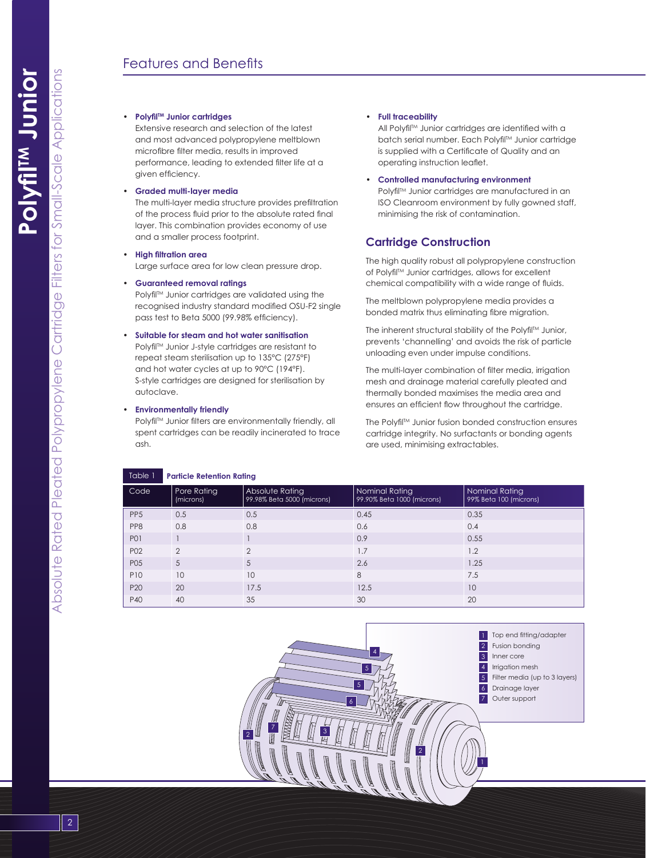#### • **PolyfilTM Junior cartridges**

Extensive research and selection of the latest and most advanced polypropylene meltblown microfibre filter media, results in improved performance, leading to extended filter life at a given efficiency.

## • **Graded multi-layer media**

The multi-layer media structure provides prefiltration of the process fluid prior to the absolute rated final layer. This combination provides economy of use and a smaller process footprint.

• **High filtration area**

Large surface area for low clean pressure drop.

# • **Guaranteed removal ratings**

Polyfil™ Junior cartridges are validated using the recognised industry standard modified OSU-F2 single pass test to Beta 5000 (99.98% efficiency).

# • **Suitable for steam and hot water sanitisation**

Polyfil™ Junior J-style cartridaes are resistant to repeat steam sterilisation up to 135°C (275°F) and hot water cycles at up to 90°C (194°F). S-style cartridges are designed for sterilisation by autoclave.

#### • **Environmentally friendly**

Polyfil<sup>TM</sup> Junior filters are environmentally friendly, all spent cartridges can be readily incinerated to trace ash.

## • **Full traceability**

All Polyfil<sup>TM</sup> Junior cartridges are identified with a batch serial number. Each Polyfil<sup>TM</sup> Junior cartridge is supplied with a Certificate of Quality and an operating instruction leaflet.

#### • **Controlled manufacturing environment**

Polyfil<sup>TM</sup> Junior cartridges are manufactured in an ISO Cleanroom environment by fully gowned staff, minimising the risk of contamination.

# **Cartridge Construction**

The high quality robust all polypropylene construction of Polyfil™ Junior cartridges, allows for excellent chemical compatibility with a wide range of fluids.

The meltblown polypropylene media provides a bonded matrix thus eliminating fibre migration.

The inherent structural stability of the Polyfil™ Junior, prevents 'channelling' and avoids the risk of particle unloading even under impulse conditions.

The multi-layer combination of filter media, irrigation mesh and drainage material carefully pleated and thermally bonded maximises the media area and ensures an efficient flow throughout the cartridge.

The Polyfil™ Junior fusion bonded construction ensures cartridge integrity. No surfactants or bonding agents are used, minimising extractables.

| Table 1         | <b>Particle Retention Rating</b> |                                               |                                              |                                          |
|-----------------|----------------------------------|-----------------------------------------------|----------------------------------------------|------------------------------------------|
| Code            | Pore Rating<br>(microns)         | Absolute Rating<br>99.98% Beta 5000 (microns) | Nominal Rating<br>99.90% Beta 1000 (microns) | Nominal Rating<br>99% Beta 100 (microns) |
| PP <sub>5</sub> | 0.5                              | 0.5                                           | 0.45                                         | 0.35                                     |
| PP8             | 0.8                              | 0.8                                           | 0.6                                          | 0.4                                      |
| <b>P01</b>      |                                  |                                               | 0.9                                          | 0.55                                     |
| P <sub>02</sub> | $\mathcal{P}$                    | $\mathcal{P}$                                 | 1.7                                          | 1.2                                      |
| P05             | 5                                | 5                                             | 2.6                                          | 1.25                                     |
| P10             | 10                               | 10                                            | 8                                            | 7.5                                      |
| P <sub>20</sub> | 20                               | 17.5                                          | 12.5                                         | 10                                       |
| P40             | 40                               | 35                                            | 30                                           | 20                                       |



Filters for Small-Scale Applications

Absolute Rated Pleated Polypropylene Cartridge Filters for Small-Scale Applications

Pleated Polypropylene Cartridge

Absolute Rated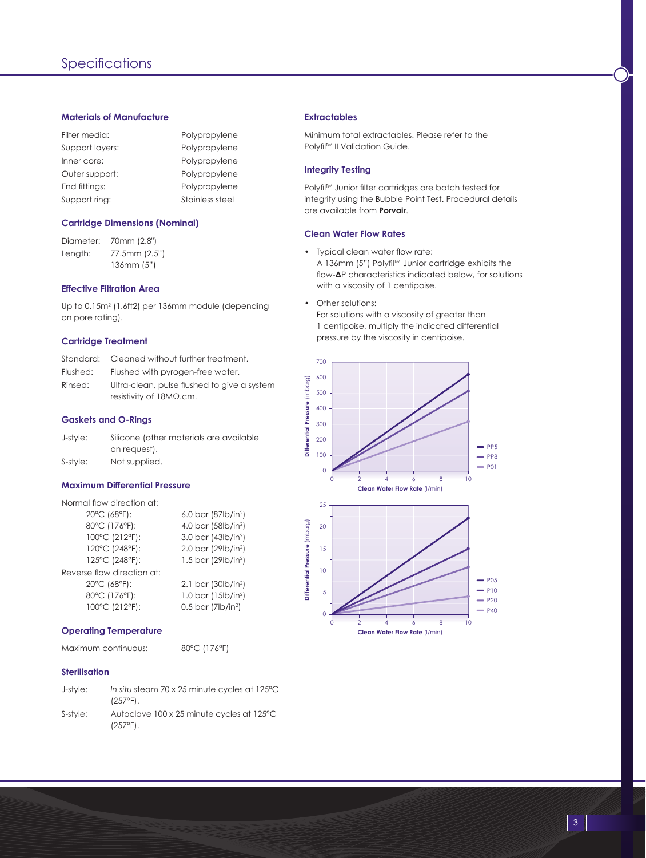# **Materials of Manufacture**

| Filter media:   | Polypropylene   |
|-----------------|-----------------|
| Support layers: | Polypropylene   |
| Inner core:     | Polypropylene   |
| Outer support:  | Polypropylene   |
| End fittings:   | Polypropylene   |
| Support ring:   | Stainless steel |

#### **Cartridge Dimensions (Nominal)**

Diameter: 70mm (2.8") Length: 77.5mm (2.5") 136mm (5")

# **Effective Filtration Area**

Up to 0.15m<sup>2</sup> (1.6ft2) per 136mm module (depending on pore rating).

# **Cartridge Treatment**

| Standard: | Cleaned without further treatment.                                             |
|-----------|--------------------------------------------------------------------------------|
| Flushed:  | Flushed with pyrogen-free water.                                               |
| Rinsed:   | Ultra-clean, pulse flushed to give a system<br>resistivity of $18M\Omega$ .cm. |

# **Gaskets and O-Rings**

| J-style: | Silicone (other materials are available |
|----------|-----------------------------------------|
|          | on reauest).                            |
| S-style: | Not supplied.                           |

#### **Maximum Differential Pressure**

| Normal flow direction at:  |                                     |  |
|----------------------------|-------------------------------------|--|
| 20°C (68°F):               | 6.0 bar (87 $ b/$ in <sup>2</sup> ) |  |
| 80°C (176°F):              | 4.0 bar (58lb/in <sup>2</sup> )     |  |
| 100°C (212°F):             | 3.0 bar $(43/b/in2)$                |  |
| 120°C (248°F):             | 2.0 bar (29lb/in <sup>2</sup> )     |  |
| 125°C (248°F):             | 1.5 bar (29 $ b/$ in <sup>2</sup> ) |  |
| Reverse flow direction at: |                                     |  |
| 20°C (68°F):               | 2.1 bar (30 $b/in2$ )               |  |
| 80°C (176°F):              | 1.0 bar $(15lb/in2)$                |  |
| 100°C (212°F):             | $0.5$ bar (7lb/in <sup>2</sup> )    |  |

# **Operating Temperature**

Maximum continuous: 80°C (176°F)

# **Sterilisation**

| J-style: | In situ steam 70 x 25 minute cycles at 125°C<br>$(257^{\circ}F)$ . |
|----------|--------------------------------------------------------------------|
| S-style: | Autoclave 100 x 25 minute cycles at 125°C<br>$(257^{\circ}F)$ .    |

# **Extractables**

Minimum total extractables. Please refer to the Polyfil™ II Validation Guide.

# **Integrity Testing**

Polyfil<sup>TM</sup> Junior filter cartridges are batch tested for integrity using the Bubble Point Test. Procedural details are available from **Porvair**.

#### **Clean Water Flow Rates**

- Typical clean water flow rate: A 136mm (5") Polyfil™ Junior cartridge exhibits the flow-**Δ**P characteristics indicated below, for solutions with a viscosity of 1 centipoise.
- Other solutions: For solutions with a viscosity of greater than 1 centipoise, multiply the indicated differential pressure by the viscosity in centipoise.